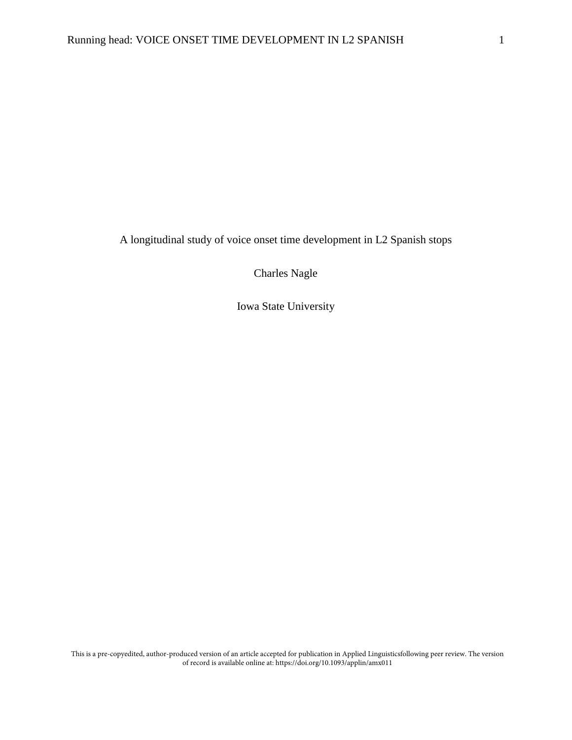A longitudinal study of voice onset time development in L2 Spanish stops

Charles Nagle

Iowa State University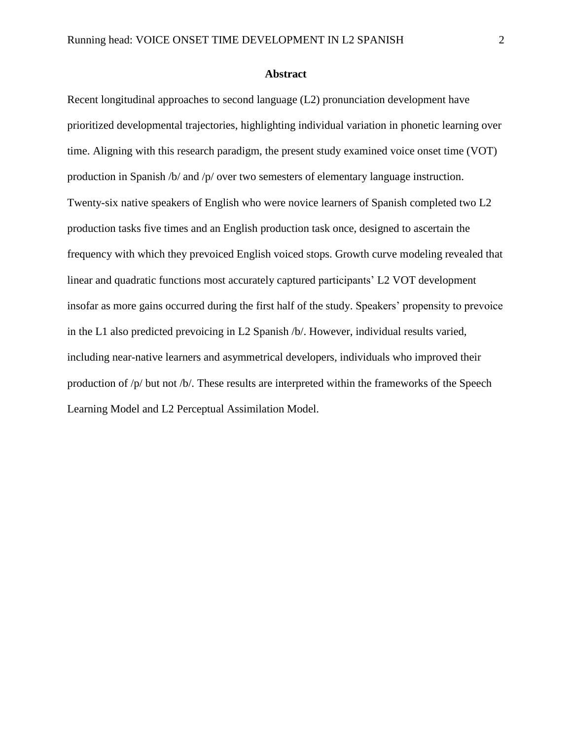### **Abstract**

Recent longitudinal approaches to second language (L2) pronunciation development have prioritized developmental trajectories, highlighting individual variation in phonetic learning over time. Aligning with this research paradigm, the present study examined voice onset time (VOT) production in Spanish /b/ and /p/ over two semesters of elementary language instruction. Twenty-six native speakers of English who were novice learners of Spanish completed two L2 production tasks five times and an English production task once, designed to ascertain the frequency with which they prevoiced English voiced stops. Growth curve modeling revealed that linear and quadratic functions most accurately captured participants' L2 VOT development insofar as more gains occurred during the first half of the study. Speakers' propensity to prevoice in the L1 also predicted prevoicing in L2 Spanish /b/. However, individual results varied, including near-native learners and asymmetrical developers, individuals who improved their production of /p/ but not /b/. These results are interpreted within the frameworks of the Speech Learning Model and L2 Perceptual Assimilation Model.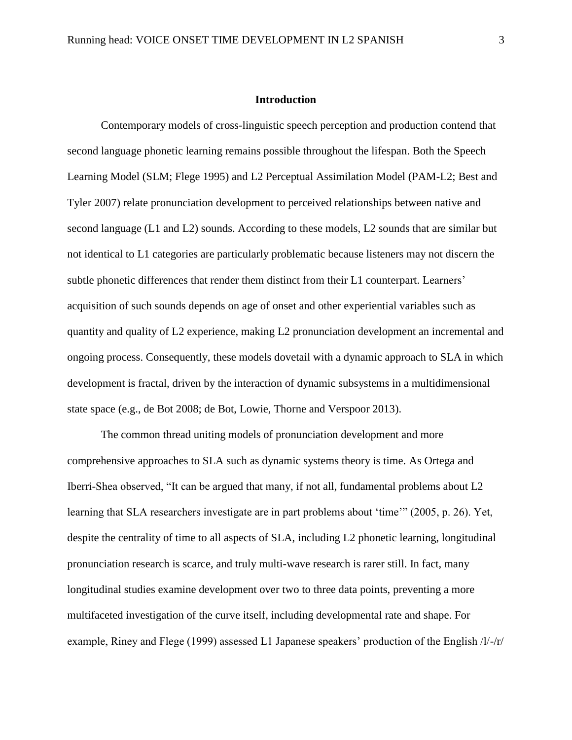## **Introduction**

Contemporary models of cross-linguistic speech perception and production contend that second language phonetic learning remains possible throughout the lifespan. Both the Speech Learning Model (SLM; Flege 1995) and L2 Perceptual Assimilation Model (PAM-L2; Best and Tyler 2007) relate pronunciation development to perceived relationships between native and second language (L1 and L2) sounds. According to these models, L2 sounds that are similar but not identical to L1 categories are particularly problematic because listeners may not discern the subtle phonetic differences that render them distinct from their L1 counterpart. Learners' acquisition of such sounds depends on age of onset and other experiential variables such as quantity and quality of L2 experience, making L2 pronunciation development an incremental and ongoing process. Consequently, these models dovetail with a dynamic approach to SLA in which development is fractal, driven by the interaction of dynamic subsystems in a multidimensional state space (e.g., de Bot 2008; de Bot, Lowie, Thorne and Verspoor 2013).

The common thread uniting models of pronunciation development and more comprehensive approaches to SLA such as dynamic systems theory is time. As Ortega and Iberri-Shea observed, "It can be argued that many, if not all, fundamental problems about L2 learning that SLA researchers investigate are in part problems about 'time'" (2005, p. 26). Yet, despite the centrality of time to all aspects of SLA, including L2 phonetic learning, longitudinal pronunciation research is scarce, and truly multi-wave research is rarer still. In fact, many longitudinal studies examine development over two to three data points, preventing a more multifaceted investigation of the curve itself, including developmental rate and shape. For example, Riney and Flege (1999) assessed L1 Japanese speakers' production of the English /l/-/r/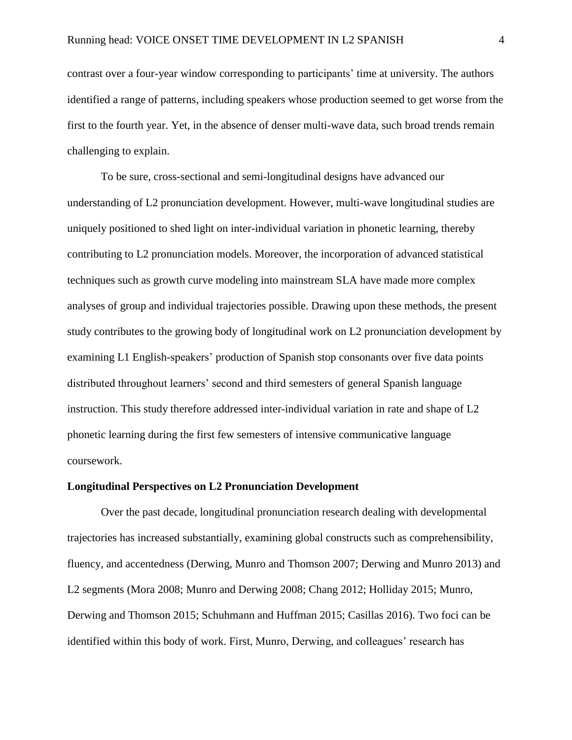contrast over a four-year window corresponding to participants' time at university. The authors identified a range of patterns, including speakers whose production seemed to get worse from the first to the fourth year. Yet, in the absence of denser multi-wave data, such broad trends remain challenging to explain.

To be sure, cross-sectional and semi-longitudinal designs have advanced our understanding of L2 pronunciation development. However, multi-wave longitudinal studies are uniquely positioned to shed light on inter-individual variation in phonetic learning, thereby contributing to L2 pronunciation models. Moreover, the incorporation of advanced statistical techniques such as growth curve modeling into mainstream SLA have made more complex analyses of group and individual trajectories possible. Drawing upon these methods, the present study contributes to the growing body of longitudinal work on L2 pronunciation development by examining L1 English-speakers' production of Spanish stop consonants over five data points distributed throughout learners' second and third semesters of general Spanish language instruction. This study therefore addressed inter-individual variation in rate and shape of L2 phonetic learning during the first few semesters of intensive communicative language coursework.

### **Longitudinal Perspectives on L2 Pronunciation Development**

Over the past decade, longitudinal pronunciation research dealing with developmental trajectories has increased substantially, examining global constructs such as comprehensibility, fluency, and accentedness (Derwing, Munro and Thomson 2007; Derwing and Munro 2013) and L2 segments (Mora 2008; Munro and Derwing 2008; Chang 2012; Holliday 2015; Munro, Derwing and Thomson 2015; Schuhmann and Huffman 2015; Casillas 2016). Two foci can be identified within this body of work. First, Munro, Derwing, and colleagues' research has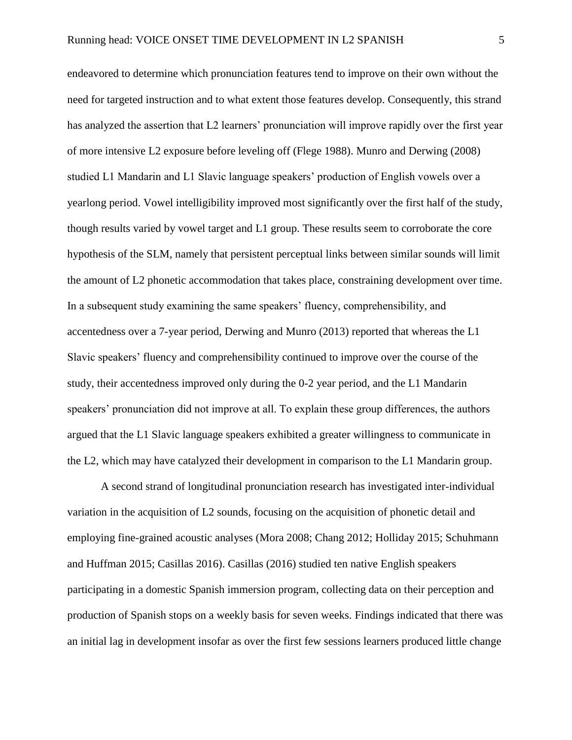endeavored to determine which pronunciation features tend to improve on their own without the need for targeted instruction and to what extent those features develop. Consequently, this strand has analyzed the assertion that L2 learners' pronunciation will improve rapidly over the first year of more intensive L2 exposure before leveling off (Flege 1988). Munro and Derwing (2008) studied L1 Mandarin and L1 Slavic language speakers' production of English vowels over a yearlong period. Vowel intelligibility improved most significantly over the first half of the study, though results varied by vowel target and L1 group. These results seem to corroborate the core hypothesis of the SLM, namely that persistent perceptual links between similar sounds will limit the amount of L2 phonetic accommodation that takes place, constraining development over time. In a subsequent study examining the same speakers' fluency, comprehensibility, and accentedness over a 7-year period, Derwing and Munro (2013) reported that whereas the L1 Slavic speakers' fluency and comprehensibility continued to improve over the course of the study, their accentedness improved only during the 0-2 year period, and the L1 Mandarin speakers' pronunciation did not improve at all. To explain these group differences, the authors argued that the L1 Slavic language speakers exhibited a greater willingness to communicate in the L2, which may have catalyzed their development in comparison to the L1 Mandarin group.

A second strand of longitudinal pronunciation research has investigated inter-individual variation in the acquisition of L2 sounds, focusing on the acquisition of phonetic detail and employing fine-grained acoustic analyses (Mora 2008; Chang 2012; Holliday 2015; Schuhmann and Huffman 2015; Casillas 2016). Casillas (2016) studied ten native English speakers participating in a domestic Spanish immersion program, collecting data on their perception and production of Spanish stops on a weekly basis for seven weeks. Findings indicated that there was an initial lag in development insofar as over the first few sessions learners produced little change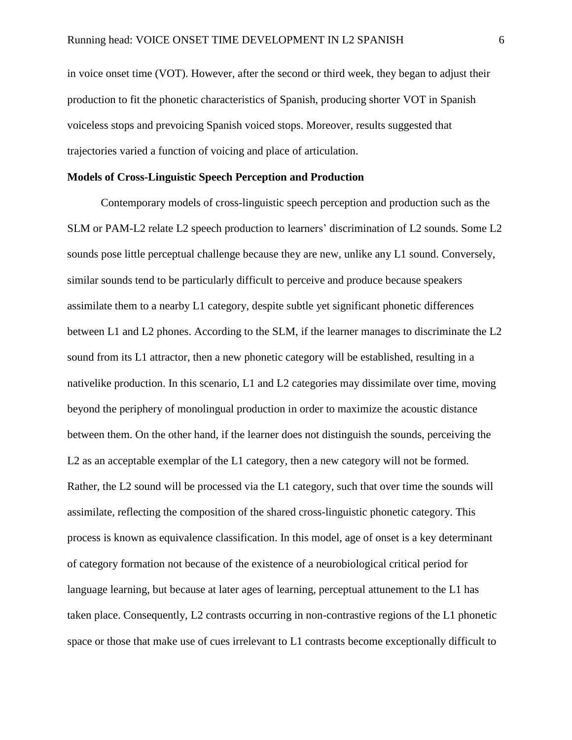in voice onset time (VOT). However, after the second or third week, they began to adjust their production to fit the phonetic characteristics of Spanish, producing shorter VOT in Spanish voiceless stops and prevoicing Spanish voiced stops. Moreover, results suggested that trajectories varied a function of voicing and place of articulation.

## **Models of Cross-Linguistic Speech Perception and Production**

Contemporary models of cross-linguistic speech perception and production such as the SLM or PAM-L2 relate L2 speech production to learners' discrimination of L2 sounds. Some L2 sounds pose little perceptual challenge because they are new, unlike any L1 sound. Conversely, similar sounds tend to be particularly difficult to perceive and produce because speakers assimilate them to a nearby L1 category, despite subtle yet significant phonetic differences between L1 and L2 phones. According to the SLM, if the learner manages to discriminate the L2 sound from its L1 attractor, then a new phonetic category will be established, resulting in a nativelike production. In this scenario, L1 and L2 categories may dissimilate over time, moving beyond the periphery of monolingual production in order to maximize the acoustic distance between them. On the other hand, if the learner does not distinguish the sounds, perceiving the L2 as an acceptable exemplar of the L1 category, then a new category will not be formed. Rather, the L2 sound will be processed via the L1 category, such that over time the sounds will assimilate, reflecting the composition of the shared cross-linguistic phonetic category. This process is known as equivalence classification. In this model, age of onset is a key determinant of category formation not because of the existence of a neurobiological critical period for language learning, but because at later ages of learning, perceptual attunement to the L1 has taken place. Consequently, L2 contrasts occurring in non-contrastive regions of the L1 phonetic space or those that make use of cues irrelevant to L1 contrasts become exceptionally difficult to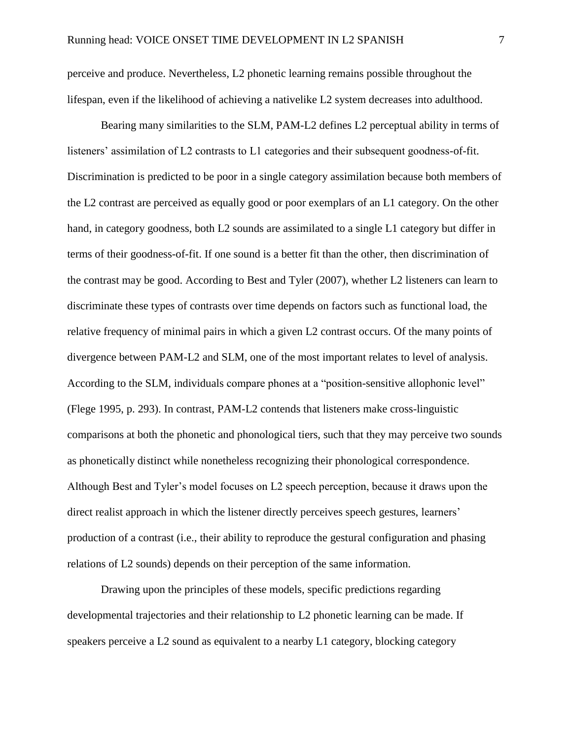perceive and produce. Nevertheless, L2 phonetic learning remains possible throughout the lifespan, even if the likelihood of achieving a nativelike L2 system decreases into adulthood.

Bearing many similarities to the SLM, PAM-L2 defines L2 perceptual ability in terms of listeners' assimilation of L2 contrasts to L1 categories and their subsequent goodness-of-fit. Discrimination is predicted to be poor in a single category assimilation because both members of the L2 contrast are perceived as equally good or poor exemplars of an L1 category. On the other hand, in category goodness, both L2 sounds are assimilated to a single L1 category but differ in terms of their goodness-of-fit. If one sound is a better fit than the other, then discrimination of the contrast may be good. According to Best and Tyler (2007), whether L2 listeners can learn to discriminate these types of contrasts over time depends on factors such as functional load, the relative frequency of minimal pairs in which a given L2 contrast occurs. Of the many points of divergence between PAM-L2 and SLM, one of the most important relates to level of analysis. According to the SLM, individuals compare phones at a "position-sensitive allophonic level" (Flege 1995, p. 293). In contrast, PAM-L2 contends that listeners make cross-linguistic comparisons at both the phonetic and phonological tiers, such that they may perceive two sounds as phonetically distinct while nonetheless recognizing their phonological correspondence. Although Best and Tyler's model focuses on L2 speech perception, because it draws upon the direct realist approach in which the listener directly perceives speech gestures, learners' production of a contrast (i.e., their ability to reproduce the gestural configuration and phasing relations of L2 sounds) depends on their perception of the same information.

Drawing upon the principles of these models, specific predictions regarding developmental trajectories and their relationship to L2 phonetic learning can be made. If speakers perceive a L2 sound as equivalent to a nearby L1 category, blocking category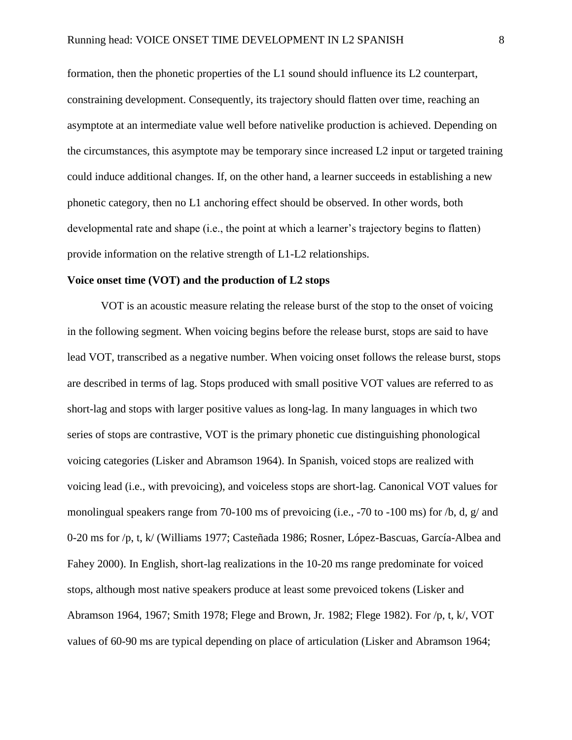formation, then the phonetic properties of the L1 sound should influence its L2 counterpart, constraining development. Consequently, its trajectory should flatten over time, reaching an asymptote at an intermediate value well before nativelike production is achieved. Depending on the circumstances, this asymptote may be temporary since increased L2 input or targeted training could induce additional changes. If, on the other hand, a learner succeeds in establishing a new phonetic category, then no L1 anchoring effect should be observed. In other words, both developmental rate and shape (i.e., the point at which a learner's trajectory begins to flatten) provide information on the relative strength of L1-L2 relationships.

# **Voice onset time (VOT) and the production of L2 stops**

VOT is an acoustic measure relating the release burst of the stop to the onset of voicing in the following segment. When voicing begins before the release burst, stops are said to have lead VOT, transcribed as a negative number. When voicing onset follows the release burst, stops are described in terms of lag. Stops produced with small positive VOT values are referred to as short-lag and stops with larger positive values as long-lag. In many languages in which two series of stops are contrastive, VOT is the primary phonetic cue distinguishing phonological voicing categories (Lisker and Abramson 1964). In Spanish, voiced stops are realized with voicing lead (i.e., with prevoicing), and voiceless stops are short-lag. Canonical VOT values for monolingual speakers range from 70-100 ms of prevoicing (i.e., -70 to -100 ms) for /b, d, g/ and 0-20 ms for /p, t, k/ (Williams 1977; Casteñada 1986; Rosner, López-Bascuas, García-Albea and Fahey 2000). In English, short-lag realizations in the 10-20 ms range predominate for voiced stops, although most native speakers produce at least some prevoiced tokens (Lisker and Abramson 1964, 1967; Smith 1978; Flege and Brown, Jr. 1982; Flege 1982). For /p, t, k/, VOT values of 60-90 ms are typical depending on place of articulation (Lisker and Abramson 1964;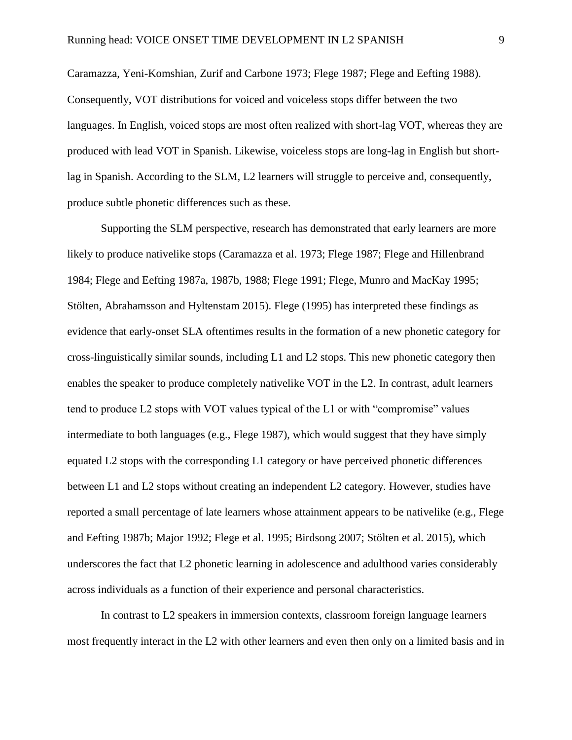Caramazza, Yeni-Komshian, Zurif and Carbone 1973; Flege 1987; Flege and Eefting 1988). Consequently, VOT distributions for voiced and voiceless stops differ between the two languages. In English, voiced stops are most often realized with short-lag VOT, whereas they are produced with lead VOT in Spanish. Likewise, voiceless stops are long-lag in English but shortlag in Spanish. According to the SLM, L2 learners will struggle to perceive and, consequently, produce subtle phonetic differences such as these.

Supporting the SLM perspective, research has demonstrated that early learners are more likely to produce nativelike stops (Caramazza et al. 1973; Flege 1987; Flege and Hillenbrand 1984; Flege and Eefting 1987a, 1987b, 1988; Flege 1991; Flege, Munro and MacKay 1995; Stölten, Abrahamsson and Hyltenstam 2015). Flege (1995) has interpreted these findings as evidence that early-onset SLA oftentimes results in the formation of a new phonetic category for cross-linguistically similar sounds, including L1 and L2 stops. This new phonetic category then enables the speaker to produce completely nativelike VOT in the L2. In contrast, adult learners tend to produce L2 stops with VOT values typical of the L1 or with "compromise" values intermediate to both languages (e.g., Flege 1987), which would suggest that they have simply equated L2 stops with the corresponding L1 category or have perceived phonetic differences between L1 and L2 stops without creating an independent L2 category. However, studies have reported a small percentage of late learners whose attainment appears to be nativelike (e.g., Flege and Eefting 1987b; Major 1992; Flege et al. 1995; Birdsong 2007; Stölten et al. 2015), which underscores the fact that L2 phonetic learning in adolescence and adulthood varies considerably across individuals as a function of their experience and personal characteristics.

In contrast to L2 speakers in immersion contexts, classroom foreign language learners most frequently interact in the L2 with other learners and even then only on a limited basis and in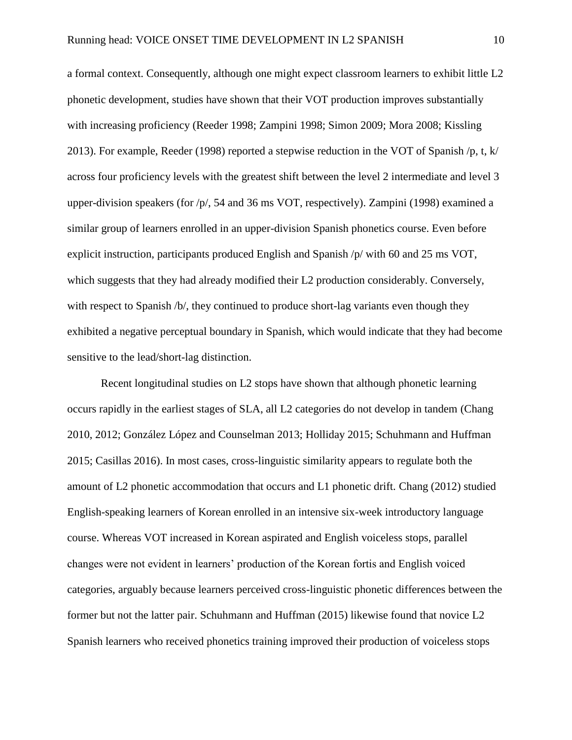a formal context. Consequently, although one might expect classroom learners to exhibit little L2 phonetic development, studies have shown that their VOT production improves substantially with increasing proficiency (Reeder 1998; Zampini 1998; Simon 2009; Mora 2008; Kissling 2013). For example, Reeder (1998) reported a stepwise reduction in the VOT of Spanish /p, t, k/ across four proficiency levels with the greatest shift between the level 2 intermediate and level 3 upper-division speakers (for /p/, 54 and 36 ms VOT, respectively). Zampini (1998) examined a similar group of learners enrolled in an upper-division Spanish phonetics course. Even before explicit instruction, participants produced English and Spanish /p/ with 60 and 25 ms VOT, which suggests that they had already modified their L2 production considerably. Conversely, with respect to Spanish /b/, they continued to produce short-lag variants even though they exhibited a negative perceptual boundary in Spanish, which would indicate that they had become sensitive to the lead/short-lag distinction.

Recent longitudinal studies on L2 stops have shown that although phonetic learning occurs rapidly in the earliest stages of SLA, all L2 categories do not develop in tandem (Chang 2010, 2012; González López and Counselman 2013; Holliday 2015; Schuhmann and Huffman 2015; Casillas 2016). In most cases, cross-linguistic similarity appears to regulate both the amount of L2 phonetic accommodation that occurs and L1 phonetic drift. Chang (2012) studied English-speaking learners of Korean enrolled in an intensive six-week introductory language course. Whereas VOT increased in Korean aspirated and English voiceless stops, parallel changes were not evident in learners' production of the Korean fortis and English voiced categories, arguably because learners perceived cross-linguistic phonetic differences between the former but not the latter pair. Schuhmann and Huffman (2015) likewise found that novice L2 Spanish learners who received phonetics training improved their production of voiceless stops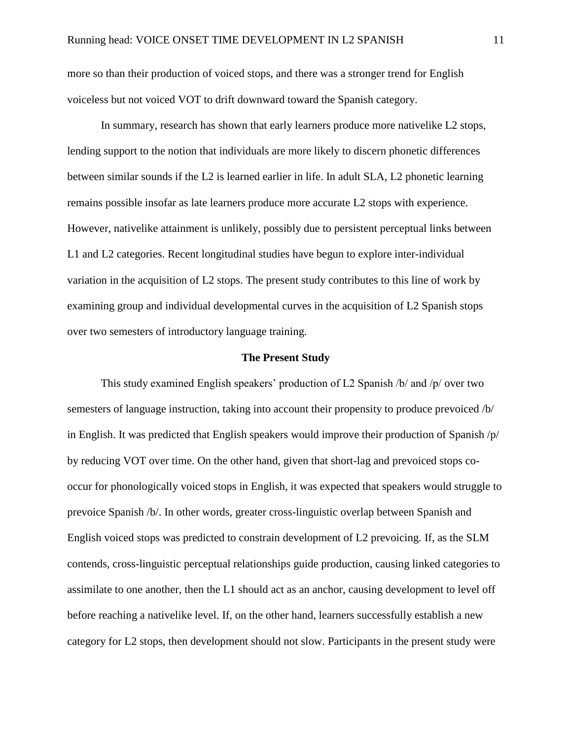more so than their production of voiced stops, and there was a stronger trend for English voiceless but not voiced VOT to drift downward toward the Spanish category.

In summary, research has shown that early learners produce more nativelike L2 stops, lending support to the notion that individuals are more likely to discern phonetic differences between similar sounds if the L2 is learned earlier in life. In adult SLA, L2 phonetic learning remains possible insofar as late learners produce more accurate L2 stops with experience. However, nativelike attainment is unlikely, possibly due to persistent perceptual links between L1 and L2 categories. Recent longitudinal studies have begun to explore inter-individual variation in the acquisition of L2 stops. The present study contributes to this line of work by examining group and individual developmental curves in the acquisition of L2 Spanish stops over two semesters of introductory language training.

#### **The Present Study**

This study examined English speakers' production of L2 Spanish /b/ and /p/ over two semesters of language instruction, taking into account their propensity to produce prevoiced /b/ in English. It was predicted that English speakers would improve their production of Spanish /p/ by reducing VOT over time. On the other hand, given that short-lag and prevoiced stops cooccur for phonologically voiced stops in English, it was expected that speakers would struggle to prevoice Spanish /b/. In other words, greater cross-linguistic overlap between Spanish and English voiced stops was predicted to constrain development of L2 prevoicing. If, as the SLM contends, cross-linguistic perceptual relationships guide production, causing linked categories to assimilate to one another, then the L1 should act as an anchor, causing development to level off before reaching a nativelike level. If, on the other hand, learners successfully establish a new category for L2 stops, then development should not slow. Participants in the present study were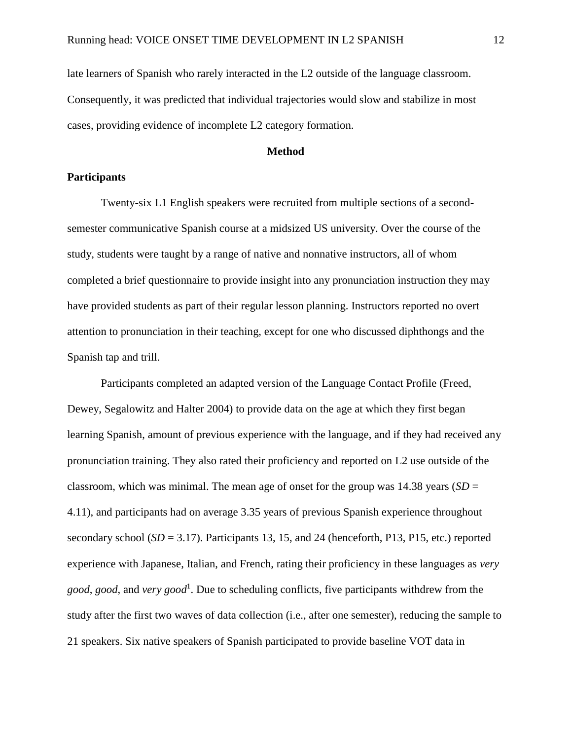late learners of Spanish who rarely interacted in the L2 outside of the language classroom. Consequently, it was predicted that individual trajectories would slow and stabilize in most cases, providing evidence of incomplete L2 category formation.

## **Method**

## **Participants**

Twenty-six L1 English speakers were recruited from multiple sections of a secondsemester communicative Spanish course at a midsized US university. Over the course of the study, students were taught by a range of native and nonnative instructors, all of whom completed a brief questionnaire to provide insight into any pronunciation instruction they may have provided students as part of their regular lesson planning. Instructors reported no overt attention to pronunciation in their teaching, except for one who discussed diphthongs and the Spanish tap and trill.

Participants completed an adapted version of the Language Contact Profile (Freed, Dewey, Segalowitz and Halter 2004) to provide data on the age at which they first began learning Spanish, amount of previous experience with the language, and if they had received any pronunciation training. They also rated their proficiency and reported on L2 use outside of the classroom, which was minimal. The mean age of onset for the group was  $14.38$  years (*SD* = 4.11), and participants had on average 3.35 years of previous Spanish experience throughout secondary school (*SD* = 3.17). Participants 13, 15, and 24 (henceforth, P13, P15, etc.) reported experience with Japanese, Italian, and French, rating their proficiency in these languages as *very good*, *good*, and *very good*<sup>1</sup> . Due to scheduling conflicts, five participants withdrew from the study after the first two waves of data collection (i.e., after one semester), reducing the sample to 21 speakers. Six native speakers of Spanish participated to provide baseline VOT data in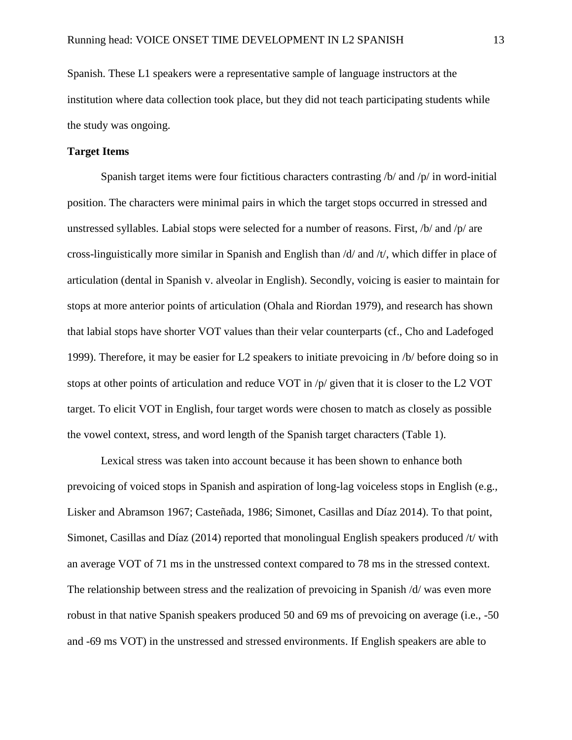Spanish. These L1 speakers were a representative sample of language instructors at the institution where data collection took place, but they did not teach participating students while the study was ongoing.

## **Target Items**

Spanish target items were four fictitious characters contrasting /b/ and /p/ in word-initial position. The characters were minimal pairs in which the target stops occurred in stressed and unstressed syllables. Labial stops were selected for a number of reasons. First, /b/ and /p/ are cross-linguistically more similar in Spanish and English than /d/ and /t/, which differ in place of articulation (dental in Spanish v. alveolar in English). Secondly, voicing is easier to maintain for stops at more anterior points of articulation (Ohala and Riordan 1979), and research has shown that labial stops have shorter VOT values than their velar counterparts (cf., Cho and Ladefoged 1999). Therefore, it may be easier for L2 speakers to initiate prevoicing in /b/ before doing so in stops at other points of articulation and reduce VOT in /p/ given that it is closer to the L2 VOT target. To elicit VOT in English, four target words were chosen to match as closely as possible the vowel context, stress, and word length of the Spanish target characters (Table 1).

Lexical stress was taken into account because it has been shown to enhance both prevoicing of voiced stops in Spanish and aspiration of long-lag voiceless stops in English (e.g., Lisker and Abramson 1967; Casteñada, 1986; Simonet, Casillas and Díaz 2014). To that point, Simonet, Casillas and Díaz (2014) reported that monolingual English speakers produced /t/ with an average VOT of 71 ms in the unstressed context compared to 78 ms in the stressed context. The relationship between stress and the realization of prevoicing in Spanish /d/ was even more robust in that native Spanish speakers produced 50 and 69 ms of prevoicing on average (i.e., -50 and -69 ms VOT) in the unstressed and stressed environments. If English speakers are able to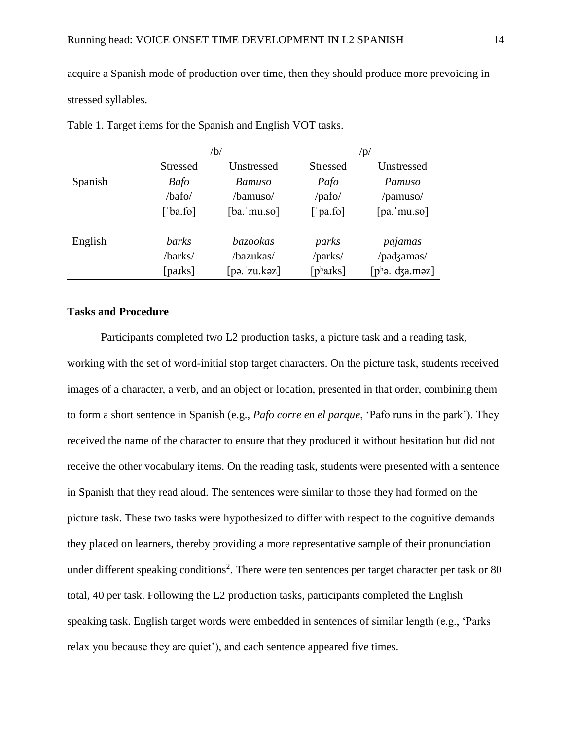acquire a Spanish mode of production over time, then they should produce more prevoicing in stressed syllables.

|         |                 | /b/             | $\sqrt{p/2}$           |                   |  |
|---------|-----------------|-----------------|------------------------|-------------------|--|
|         | <b>Stressed</b> | Unstressed      | <b>Stressed</b>        | Unstressed        |  |
| Spanish | <b>Bafo</b>     | Bamuso          | Pafo                   | Pamuso            |  |
|         | /bafo/          | /bamuso/        | $\gamma$ pafo $\gamma$ | /pamuso/          |  |
|         | [ˈba.fo]        | $[ba$ . mu.so]  | ['pa.fo]               | [pa. mu.so]       |  |
| English | barks           | <i>bazookas</i> | parks                  | pajamas           |  |
|         | /barks/         | /bazukas/       | /parks/                | /padzamas/        |  |
|         | [paiks]         | [pə.ˈzu.kəz]    | [ $ph a$ <i>xks</i> ]  | $[ph$ ə. dza.məz] |  |

Table 1. Target items for the Spanish and English VOT tasks.

## **Tasks and Procedure**

Participants completed two L2 production tasks, a picture task and a reading task, working with the set of word-initial stop target characters. On the picture task, students received images of a character, a verb, and an object or location, presented in that order, combining them to form a short sentence in Spanish (e.g., *Pafo corre en el parque*, 'Pafo runs in the park'). They received the name of the character to ensure that they produced it without hesitation but did not receive the other vocabulary items. On the reading task, students were presented with a sentence in Spanish that they read aloud. The sentences were similar to those they had formed on the picture task. These two tasks were hypothesized to differ with respect to the cognitive demands they placed on learners, thereby providing a more representative sample of their pronunciation under different speaking conditions<sup>2</sup>. There were ten sentences per target character per task or 80 total, 40 per task. Following the L2 production tasks, participants completed the English speaking task. English target words were embedded in sentences of similar length (e.g., 'Parks relax you because they are quiet'), and each sentence appeared five times.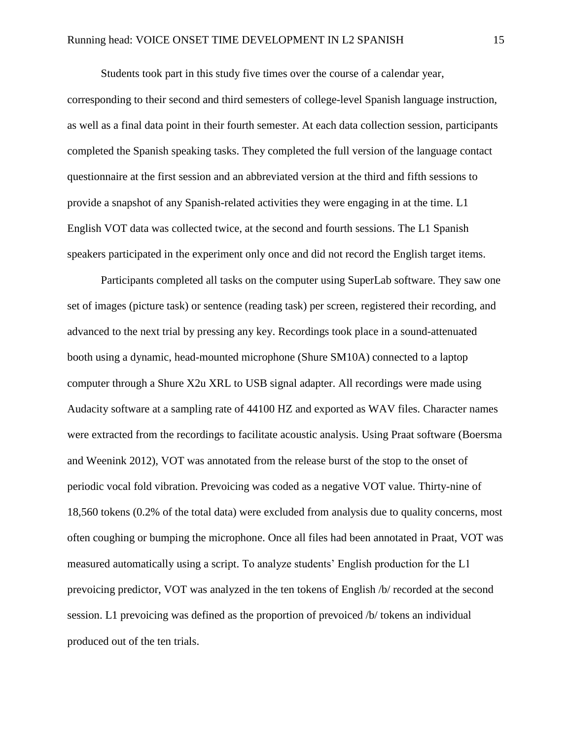Students took part in this study five times over the course of a calendar year,

corresponding to their second and third semesters of college-level Spanish language instruction, as well as a final data point in their fourth semester. At each data collection session, participants completed the Spanish speaking tasks. They completed the full version of the language contact questionnaire at the first session and an abbreviated version at the third and fifth sessions to provide a snapshot of any Spanish-related activities they were engaging in at the time. L1 English VOT data was collected twice, at the second and fourth sessions. The L1 Spanish speakers participated in the experiment only once and did not record the English target items.

Participants completed all tasks on the computer using SuperLab software. They saw one set of images (picture task) or sentence (reading task) per screen, registered their recording, and advanced to the next trial by pressing any key. Recordings took place in a sound-attenuated booth using a dynamic, head-mounted microphone (Shure SM10A) connected to a laptop computer through a Shure X2u XRL to USB signal adapter. All recordings were made using Audacity software at a sampling rate of 44100 HZ and exported as WAV files. Character names were extracted from the recordings to facilitate acoustic analysis. Using Praat software (Boersma and Weenink 2012), VOT was annotated from the release burst of the stop to the onset of periodic vocal fold vibration. Prevoicing was coded as a negative VOT value. Thirty-nine of 18,560 tokens (0.2% of the total data) were excluded from analysis due to quality concerns, most often coughing or bumping the microphone. Once all files had been annotated in Praat, VOT was measured automatically using a script. To analyze students' English production for the L1 prevoicing predictor, VOT was analyzed in the ten tokens of English /b/ recorded at the second session. L1 prevoicing was defined as the proportion of prevoiced /b/ tokens an individual produced out of the ten trials.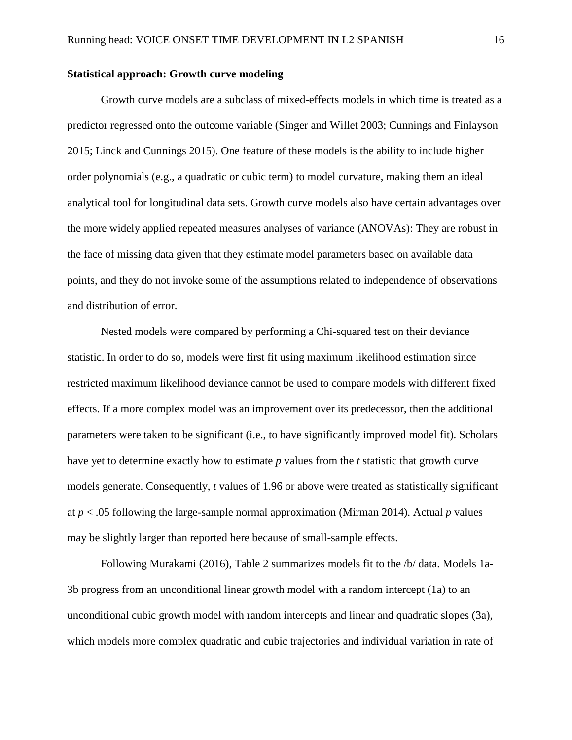## **Statistical approach: Growth curve modeling**

Growth curve models are a subclass of mixed-effects models in which time is treated as a predictor regressed onto the outcome variable (Singer and Willet 2003; Cunnings and Finlayson 2015; Linck and Cunnings 2015). One feature of these models is the ability to include higher order polynomials (e.g., a quadratic or cubic term) to model curvature, making them an ideal analytical tool for longitudinal data sets. Growth curve models also have certain advantages over the more widely applied repeated measures analyses of variance (ANOVAs): They are robust in the face of missing data given that they estimate model parameters based on available data points, and they do not invoke some of the assumptions related to independence of observations and distribution of error.

Nested models were compared by performing a Chi-squared test on their deviance statistic. In order to do so, models were first fit using maximum likelihood estimation since restricted maximum likelihood deviance cannot be used to compare models with different fixed effects. If a more complex model was an improvement over its predecessor, then the additional parameters were taken to be significant (i.e., to have significantly improved model fit). Scholars have yet to determine exactly how to estimate *p* values from the *t* statistic that growth curve models generate. Consequently, *t* values of 1.96 or above were treated as statistically significant at *p* < .05 following the large-sample normal approximation (Mirman 2014). Actual *p* values may be slightly larger than reported here because of small-sample effects.

Following Murakami (2016), Table 2 summarizes models fit to the /b/ data. Models 1a-3b progress from an unconditional linear growth model with a random intercept (1a) to an unconditional cubic growth model with random intercepts and linear and quadratic slopes (3a), which models more complex quadratic and cubic trajectories and individual variation in rate of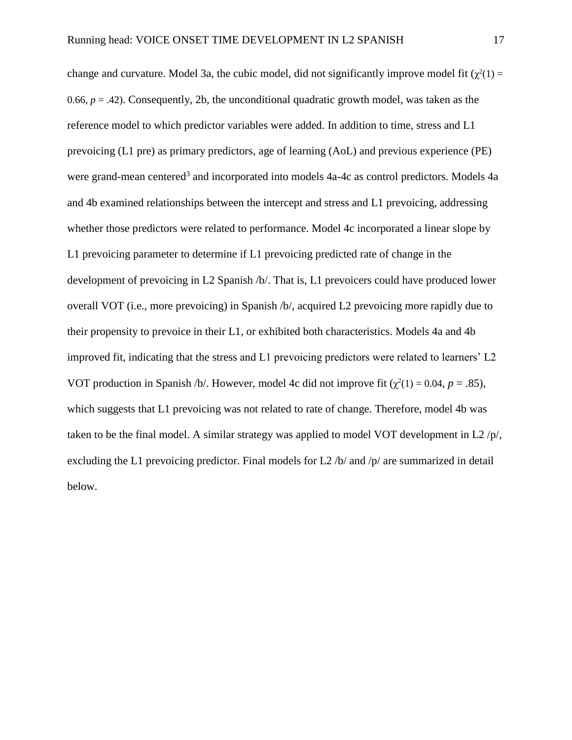change and curvature. Model 3a, the cubic model, did not significantly improve model fit  $(\chi^2(1) =$ 0.66,  $p = 0.42$ ). Consequently, 2b, the unconditional quadratic growth model, was taken as the reference model to which predictor variables were added. In addition to time, stress and L1 prevoicing (L1 pre) as primary predictors, age of learning (AoL) and previous experience (PE) were grand-mean centered<sup>3</sup> and incorporated into models 4a-4c as control predictors. Models 4a and 4b examined relationships between the intercept and stress and L1 prevoicing, addressing whether those predictors were related to performance. Model 4c incorporated a linear slope by L1 prevoicing parameter to determine if L1 prevoicing predicted rate of change in the development of prevoicing in L2 Spanish /b/. That is, L1 prevoicers could have produced lower overall VOT (i.e., more prevoicing) in Spanish /b/, acquired L2 prevoicing more rapidly due to their propensity to prevoice in their L1, or exhibited both characteristics. Models 4a and 4b improved fit, indicating that the stress and L1 prevoicing predictors were related to learners' L2 VOT production in Spanish /b/. However, model 4c did not improve fit  $(\chi^2(1) = 0.04, p = .85)$ , which suggests that L1 prevoicing was not related to rate of change. Therefore, model 4b was taken to be the final model. A similar strategy was applied to model VOT development in L2  $/p/$ , excluding the L1 prevoicing predictor. Final models for L2 /b/ and /p/ are summarized in detail below.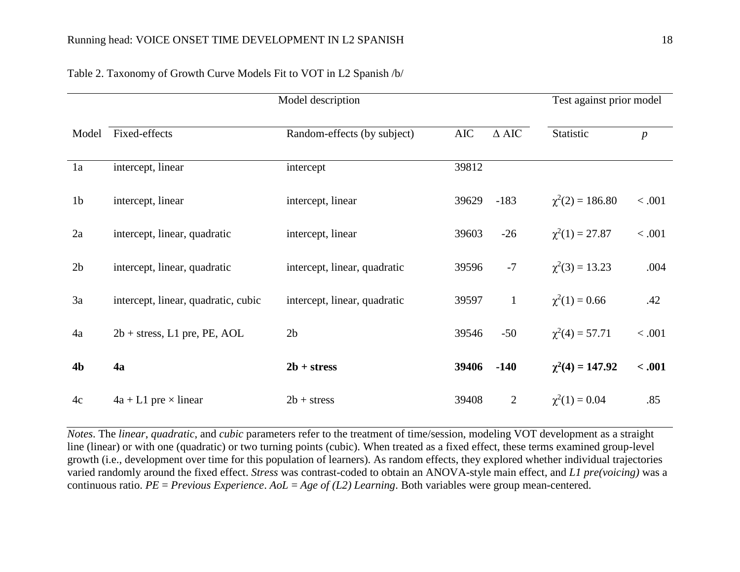|                |                                                   | Model description            |            |                 | Test against prior model |                  |
|----------------|---------------------------------------------------|------------------------------|------------|-----------------|--------------------------|------------------|
| Model          | Fixed-effects                                     | Random-effects (by subject)  | <b>AIC</b> | $\triangle$ AIC | Statistic                | $\boldsymbol{p}$ |
| 1a             | intercept, linear                                 | intercept                    | 39812      |                 |                          |                  |
| 1 <sub>b</sub> | intercept, linear                                 | intercept, linear            | 39629      | $-183$          | $\chi^2(2) = 186.80$     | < .001           |
| 2a             | intercept, linear, quadratic<br>intercept, linear |                              | 39603      | $-26$           | $\chi^2(1) = 27.87$      | < .001           |
| 2 <sub>b</sub> | intercept, linear, quadratic                      | intercept, linear, quadratic | 39596      | $-7$            | $\chi^2(3) = 13.23$      | .004             |
| 3a             | intercept, linear, quadratic, cubic               | intercept, linear, quadratic | 39597      | $\mathbf{1}$    | $\chi^2(1) = 0.66$       | .42              |
| 4a             | $2b + stress$ , L1 pre, PE, AOL                   | 2 <sub>b</sub>               | 39546      | $-50$           | $\chi^2(4) = 57.71$      | $<.001$          |
| <b>4b</b>      | 4a                                                | $2b + stress$                | 39406      | $-140$          | $\chi^2(4) = 147.92$     | < .001           |
| 4c             | $4a + L1$ pre $\times$ linear                     | $2b + stress$                | 39408      | $\overline{2}$  | $\chi^2(1) = 0.04$       | .85              |

# Table 2. Taxonomy of Growth Curve Models Fit to VOT in L2 Spanish /b/

*Notes*. The *linear*, *quadratic*, and *cubic* parameters refer to the treatment of time/session, modeling VOT development as a straight line (linear) or with one (quadratic) or two turning points (cubic). When treated as a fixed effect, these terms examined group-level growth (i.e., development over time for this population of learners). As random effects, they explored whether individual trajectories varied randomly around the fixed effect. *Stress* was contrast-coded to obtain an ANOVA-style main effect, and *L1 pre(voicing)* was a continuous ratio. *PE* = *Previous Experience*. *AoL* = *Age of (L2) Learning*. Both variables were group mean-centered.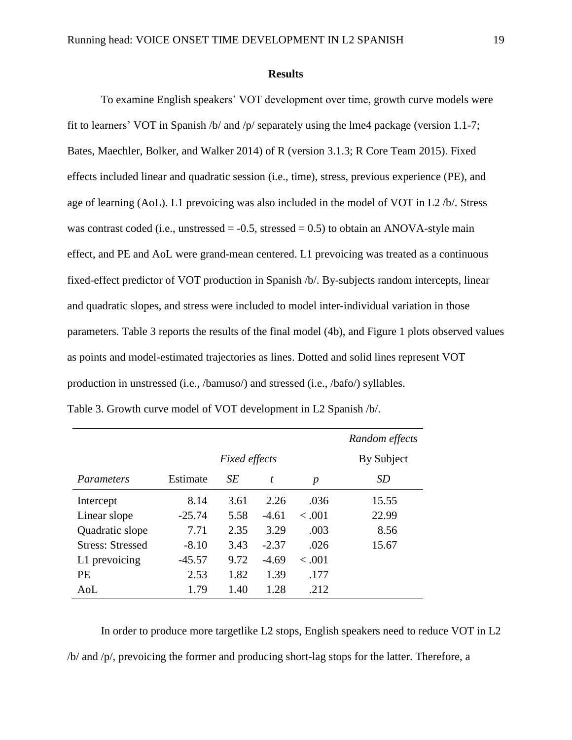#### **Results**

To examine English speakers' VOT development over time, growth curve models were fit to learners' VOT in Spanish /b/ and /p/ separately using the lme4 package (version 1.1-7; Bates, Maechler, Bolker, and Walker 2014) of R (version 3.1.3; R Core Team 2015). Fixed effects included linear and quadratic session (i.e., time), stress, previous experience (PE), and age of learning (AoL). L1 prevoicing was also included in the model of VOT in L2 /b/. Stress was contrast coded (i.e., unstressed  $= -0.5$ , stressed  $= 0.5$ ) to obtain an ANOVA-style main effect, and PE and AoL were grand-mean centered. L1 prevoicing was treated as a continuous fixed-effect predictor of VOT production in Spanish /b/. By-subjects random intercepts, linear and quadratic slopes, and stress were included to model inter-individual variation in those parameters. Table 3 reports the results of the final model (4b), and Figure 1 plots observed values as points and model-estimated trajectories as lines. Dotted and solid lines represent VOT production in unstressed (i.e., /bamuso/) and stressed (i.e., /bafo/) syllables. Table 3. Growth curve model of VOT development in L2 Spanish /b/.

|                         |          |            |         |                  | Random effects |
|-------------------------|----------|------------|---------|------------------|----------------|
|                         |          | By Subject |         |                  |                |
| Parameters              | Estimate | SЕ         | t       | $\boldsymbol{p}$ | SD             |
| Intercept               | 8.14     | 3.61       | 2.26    | .036             | 15.55          |
| Linear slope            | $-25.74$ | 5.58       | $-4.61$ | < .001           | 22.99          |
| Quadratic slope         | 7.71     | 2.35       | 3.29    | .003             | 8.56           |
| <b>Stress: Stressed</b> | $-8.10$  | 3.43       | $-2.37$ | .026             | 15.67          |
| L1 prevoicing           | $-45.57$ | 9.72       | $-4.69$ | < .001           |                |
| <b>PE</b>               | 2.53     | 1.82       | 1.39    | .177             |                |
| AoL                     | 1.79     | 1.40       | 1.28    | .212             |                |

In order to produce more targetlike L2 stops, English speakers need to reduce VOT in L2 /b/ and /p/, prevoicing the former and producing short-lag stops for the latter. Therefore, a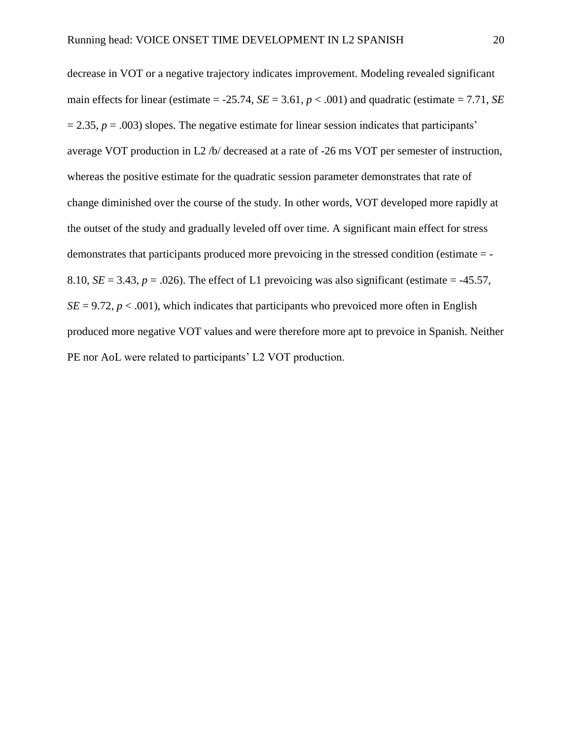decrease in VOT or a negative trajectory indicates improvement. Modeling revealed significant main effects for linear (estimate  $= -25.74$ , *SE*  $= 3.61$ ,  $p < .001$ ) and quadratic (estimate  $= 7.71$ , *SE*  $= 2.35$ ,  $p = .003$ ) slopes. The negative estimate for linear session indicates that participants' average VOT production in L2 /b/ decreased at a rate of -26 ms VOT per semester of instruction, whereas the positive estimate for the quadratic session parameter demonstrates that rate of change diminished over the course of the study. In other words, VOT developed more rapidly at the outset of the study and gradually leveled off over time. A significant main effect for stress demonstrates that participants produced more prevoicing in the stressed condition (estimate = - 8.10,  $SE = 3.43$ ,  $p = .026$ ). The effect of L1 prevoicing was also significant (estimate = -45.57,  $SE = 9.72$ ,  $p < .001$ ), which indicates that participants who prevoiced more often in English produced more negative VOT values and were therefore more apt to prevoice in Spanish. Neither PE nor AoL were related to participants' L2 VOT production.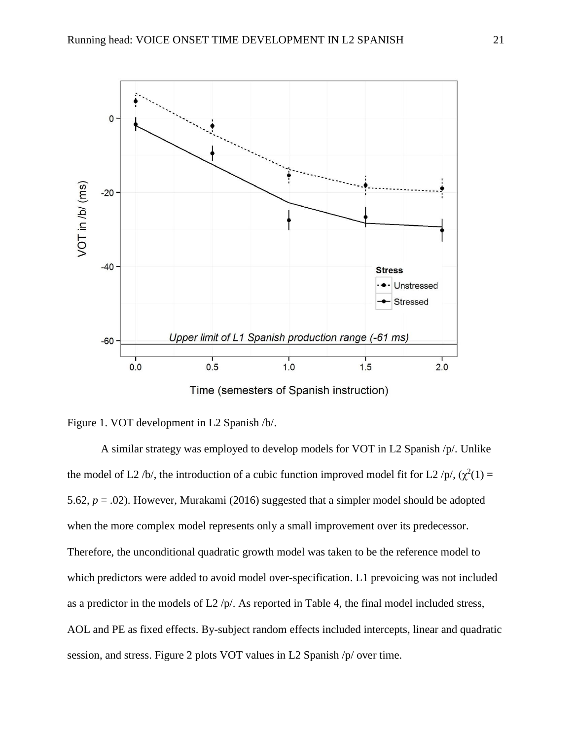

Time (semesters of Spanish instruction)



A similar strategy was employed to develop models for VOT in L2 Spanish /p/. Unlike the model of L2/b/, the introduction of a cubic function improved model fit for L2/p/,  $(\chi^2(1) =$ 5.62, *p* = .02). However, Murakami (2016) suggested that a simpler model should be adopted when the more complex model represents only a small improvement over its predecessor. Therefore, the unconditional quadratic growth model was taken to be the reference model to which predictors were added to avoid model over-specification. L1 prevoicing was not included as a predictor in the models of  $L2$  /p/. As reported in Table 4, the final model included stress, AOL and PE as fixed effects. By-subject random effects included intercepts, linear and quadratic session, and stress. Figure 2 plots VOT values in L2 Spanish /p/ over time.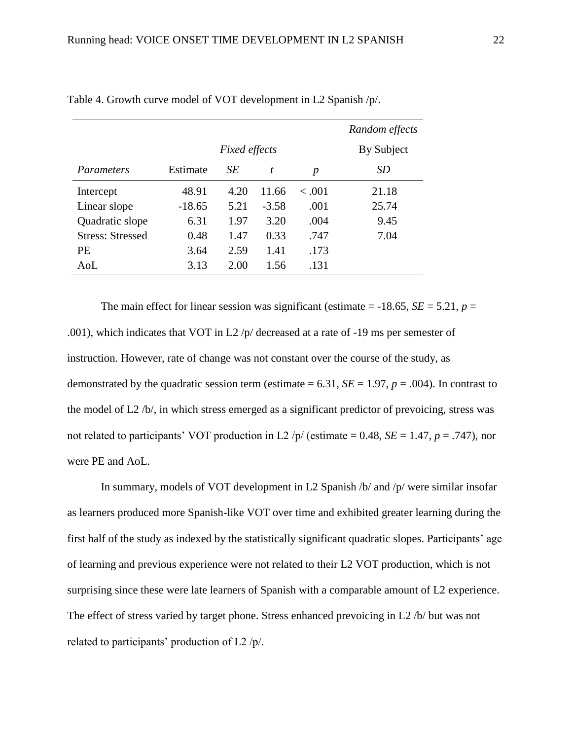|                         |          |            |         |                  | Random effects |
|-------------------------|----------|------------|---------|------------------|----------------|
|                         |          | By Subject |         |                  |                |
| Parameters              | Estimate | SЕ         | t       | $\boldsymbol{p}$ | <i>SD</i>      |
| Intercept               | 48.91    | 4.20       | 11.66   | < 0.001          | 21.18          |
| Linear slope            | $-18.65$ | 5.21       | $-3.58$ | .001             | 25.74          |
| Quadratic slope         | 6.31     | 1.97       | 3.20    | .004             | 9.45           |
| <b>Stress: Stressed</b> | 0.48     | 1.47       | 0.33    | .747             | 7.04           |
| <b>PE</b>               | 3.64     | 2.59       | 1.41    | .173             |                |
| AoL                     | 3.13     | 2.00       | 1.56    | .131             |                |

Table 4. Growth curve model of VOT development in L2 Spanish /p/.

The main effect for linear session was significant (estimate  $=$  -18.65, *SE*  $=$  5.21, *p*  $=$ .001), which indicates that VOT in L2  $/p$  decreased at a rate of -19 ms per semester of instruction. However, rate of change was not constant over the course of the study, as demonstrated by the quadratic session term (estimate  $= 6.31$ ,  $SE = 1.97$ ,  $p = .004$ ). In contrast to the model of L2 /b/, in which stress emerged as a significant predictor of prevoicing, stress was not related to participants' VOT production in L2 /p/ (estimate = 0.48,  $SE = 1.47$ ,  $p = .747$ ), nor were PE and AoL.

In summary, models of VOT development in L2 Spanish /b/ and /p/ were similar insofar as learners produced more Spanish-like VOT over time and exhibited greater learning during the first half of the study as indexed by the statistically significant quadratic slopes. Participants' age of learning and previous experience were not related to their L2 VOT production, which is not surprising since these were late learners of Spanish with a comparable amount of L2 experience. The effect of stress varied by target phone. Stress enhanced prevoicing in L2 /b/ but was not related to participants' production of L2 /p/.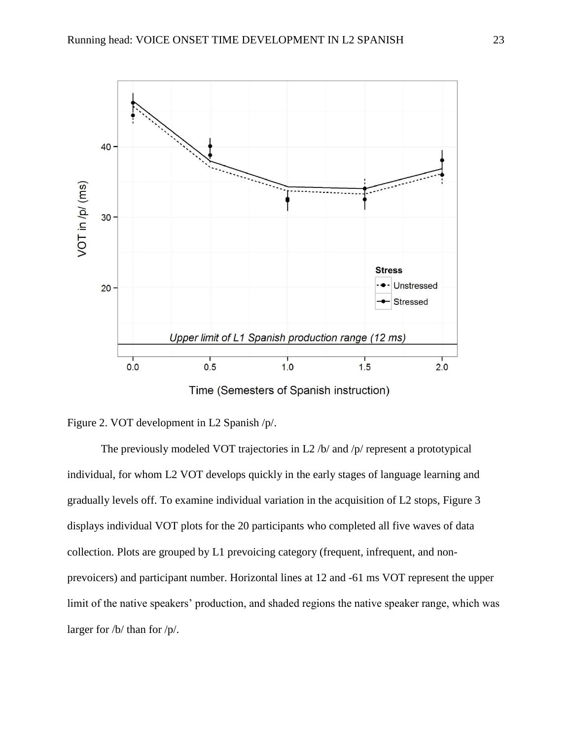

Time (Semesters of Spanish instruction)



The previously modeled VOT trajectories in L2 /b/ and /p/ represent a prototypical individual, for whom L2 VOT develops quickly in the early stages of language learning and gradually levels off. To examine individual variation in the acquisition of L2 stops, Figure 3 displays individual VOT plots for the 20 participants who completed all five waves of data collection. Plots are grouped by L1 prevoicing category (frequent, infrequent, and nonprevoicers) and participant number. Horizontal lines at 12 and -61 ms VOT represent the upper limit of the native speakers' production, and shaded regions the native speaker range, which was larger for /b/ than for /p/.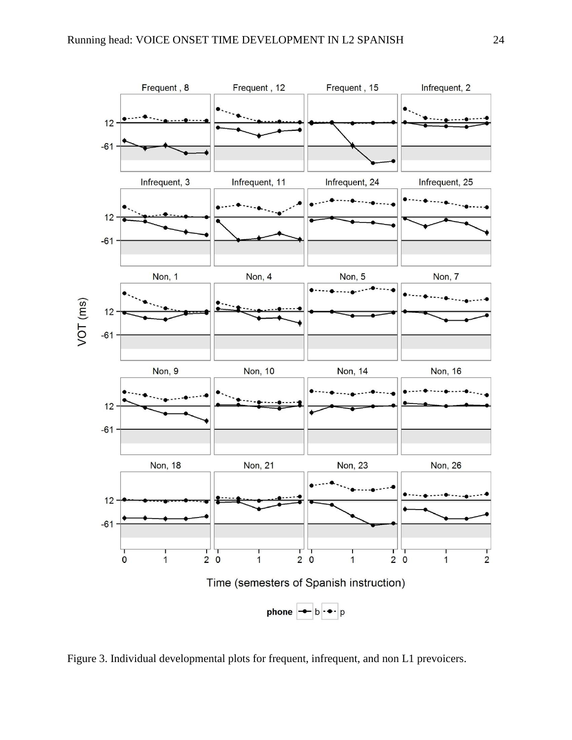

Figure 3. Individual developmental plots for frequent, infrequent, and non L1 prevoicers.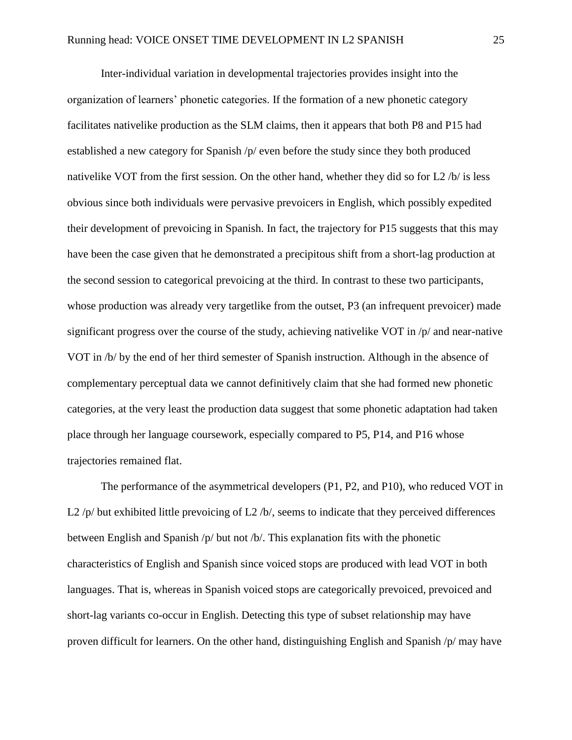Inter-individual variation in developmental trajectories provides insight into the organization of learners' phonetic categories. If the formation of a new phonetic category facilitates nativelike production as the SLM claims, then it appears that both P8 and P15 had established a new category for Spanish /p/ even before the study since they both produced nativelike VOT from the first session. On the other hand, whether they did so for L2 /b/ is less obvious since both individuals were pervasive prevoicers in English, which possibly expedited their development of prevoicing in Spanish. In fact, the trajectory for P15 suggests that this may have been the case given that he demonstrated a precipitous shift from a short-lag production at the second session to categorical prevoicing at the third. In contrast to these two participants, whose production was already very targetlike from the outset, P3 (an infrequent prevoicer) made significant progress over the course of the study, achieving nativelike VOT in /p/ and near-native VOT in /b/ by the end of her third semester of Spanish instruction. Although in the absence of complementary perceptual data we cannot definitively claim that she had formed new phonetic categories, at the very least the production data suggest that some phonetic adaptation had taken place through her language coursework, especially compared to P5, P14, and P16 whose trajectories remained flat.

The performance of the asymmetrical developers (P1, P2, and P10), who reduced VOT in L2 /p/ but exhibited little prevoicing of L2 /b/, seems to indicate that they perceived differences between English and Spanish /p/ but not /b/. This explanation fits with the phonetic characteristics of English and Spanish since voiced stops are produced with lead VOT in both languages. That is, whereas in Spanish voiced stops are categorically prevoiced, prevoiced and short-lag variants co-occur in English. Detecting this type of subset relationship may have proven difficult for learners. On the other hand, distinguishing English and Spanish /p/ may have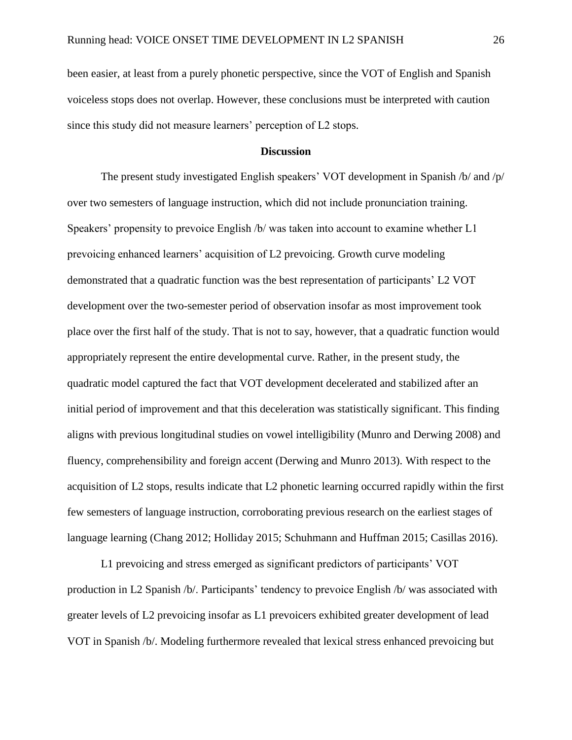been easier, at least from a purely phonetic perspective, since the VOT of English and Spanish voiceless stops does not overlap. However, these conclusions must be interpreted with caution since this study did not measure learners' perception of L2 stops.

#### **Discussion**

The present study investigated English speakers' VOT development in Spanish /b/ and /p/ over two semesters of language instruction, which did not include pronunciation training. Speakers' propensity to prevoice English /b/ was taken into account to examine whether L1 prevoicing enhanced learners' acquisition of L2 prevoicing. Growth curve modeling demonstrated that a quadratic function was the best representation of participants' L2 VOT development over the two-semester period of observation insofar as most improvement took place over the first half of the study. That is not to say, however, that a quadratic function would appropriately represent the entire developmental curve. Rather, in the present study, the quadratic model captured the fact that VOT development decelerated and stabilized after an initial period of improvement and that this deceleration was statistically significant. This finding aligns with previous longitudinal studies on vowel intelligibility (Munro and Derwing 2008) and fluency, comprehensibility and foreign accent (Derwing and Munro 2013). With respect to the acquisition of L2 stops, results indicate that L2 phonetic learning occurred rapidly within the first few semesters of language instruction, corroborating previous research on the earliest stages of language learning (Chang 2012; Holliday 2015; Schuhmann and Huffman 2015; Casillas 2016).

L1 prevoicing and stress emerged as significant predictors of participants' VOT production in L2 Spanish /b/. Participants' tendency to prevoice English /b/ was associated with greater levels of L2 prevoicing insofar as L1 prevoicers exhibited greater development of lead VOT in Spanish /b/. Modeling furthermore revealed that lexical stress enhanced prevoicing but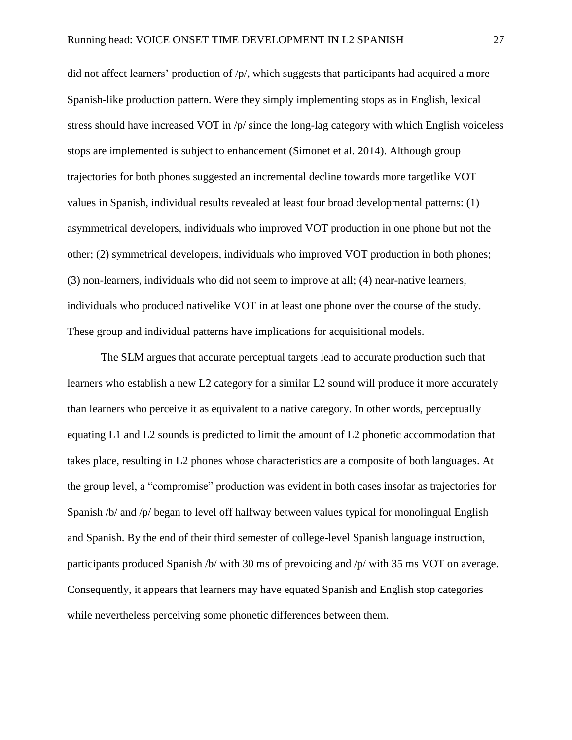did not affect learners' production of /p/, which suggests that participants had acquired a more Spanish-like production pattern. Were they simply implementing stops as in English, lexical stress should have increased VOT in /p/ since the long-lag category with which English voiceless stops are implemented is subject to enhancement (Simonet et al. 2014). Although group trajectories for both phones suggested an incremental decline towards more targetlike VOT values in Spanish, individual results revealed at least four broad developmental patterns: (1) asymmetrical developers, individuals who improved VOT production in one phone but not the other; (2) symmetrical developers, individuals who improved VOT production in both phones; (3) non-learners, individuals who did not seem to improve at all; (4) near-native learners, individuals who produced nativelike VOT in at least one phone over the course of the study. These group and individual patterns have implications for acquisitional models.

The SLM argues that accurate perceptual targets lead to accurate production such that learners who establish a new L2 category for a similar L2 sound will produce it more accurately than learners who perceive it as equivalent to a native category. In other words, perceptually equating L1 and L2 sounds is predicted to limit the amount of L2 phonetic accommodation that takes place, resulting in L2 phones whose characteristics are a composite of both languages. At the group level, a "compromise" production was evident in both cases insofar as trajectories for Spanish /b/ and /p/ began to level off halfway between values typical for monolingual English and Spanish. By the end of their third semester of college-level Spanish language instruction, participants produced Spanish /b/ with 30 ms of prevoicing and /p/ with 35 ms VOT on average. Consequently, it appears that learners may have equated Spanish and English stop categories while nevertheless perceiving some phonetic differences between them.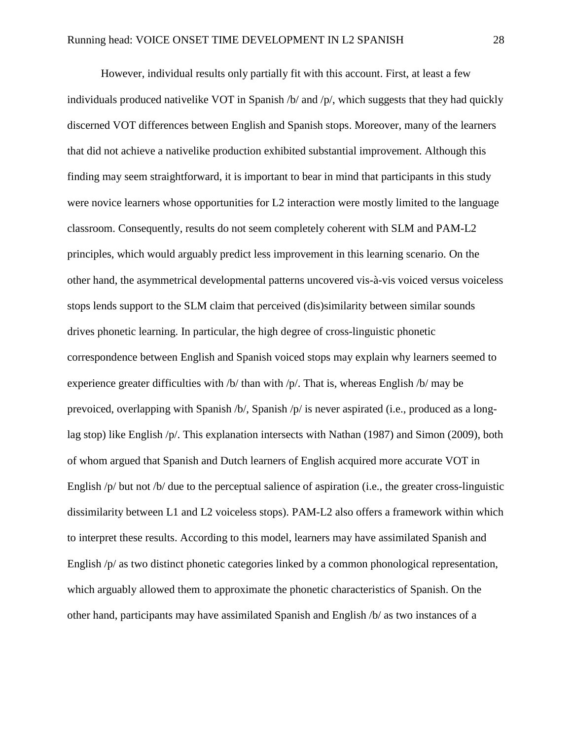However, individual results only partially fit with this account. First, at least a few individuals produced nativelike VOT in Spanish  $/b$  and  $/p$ , which suggests that they had quickly discerned VOT differences between English and Spanish stops. Moreover, many of the learners that did not achieve a nativelike production exhibited substantial improvement. Although this finding may seem straightforward, it is important to bear in mind that participants in this study were novice learners whose opportunities for L2 interaction were mostly limited to the language classroom. Consequently, results do not seem completely coherent with SLM and PAM-L2 principles, which would arguably predict less improvement in this learning scenario. On the other hand, the asymmetrical developmental patterns uncovered vis-à-vis voiced versus voiceless stops lends support to the SLM claim that perceived (dis)similarity between similar sounds drives phonetic learning. In particular, the high degree of cross-linguistic phonetic correspondence between English and Spanish voiced stops may explain why learners seemed to experience greater difficulties with /b/ than with /p/. That is, whereas English /b/ may be prevoiced, overlapping with Spanish /b/, Spanish /p/ is never aspirated (i.e., produced as a longlag stop) like English /p/. This explanation intersects with Nathan (1987) and Simon (2009), both of whom argued that Spanish and Dutch learners of English acquired more accurate VOT in English /p/ but not /b/ due to the perceptual salience of aspiration (i.e., the greater cross-linguistic dissimilarity between L1 and L2 voiceless stops). PAM-L2 also offers a framework within which to interpret these results. According to this model, learners may have assimilated Spanish and English /p/ as two distinct phonetic categories linked by a common phonological representation, which arguably allowed them to approximate the phonetic characteristics of Spanish. On the other hand, participants may have assimilated Spanish and English /b/ as two instances of a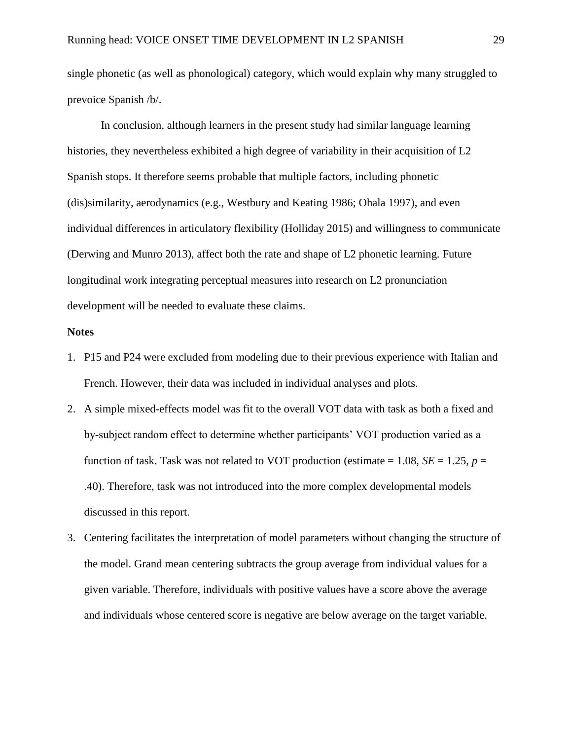single phonetic (as well as phonological) category, which would explain why many struggled to prevoice Spanish /b/.

In conclusion, although learners in the present study had similar language learning histories, they nevertheless exhibited a high degree of variability in their acquisition of L2 Spanish stops. It therefore seems probable that multiple factors, including phonetic (dis)similarity, aerodynamics (e.g., Westbury and Keating 1986; Ohala 1997), and even individual differences in articulatory flexibility (Holliday 2015) and willingness to communicate (Derwing and Munro 2013), affect both the rate and shape of L2 phonetic learning. Future longitudinal work integrating perceptual measures into research on L2 pronunciation development will be needed to evaluate these claims.

### **Notes**

- 1. P15 and P24 were excluded from modeling due to their previous experience with Italian and French. However, their data was included in individual analyses and plots.
- 2. A simple mixed-effects model was fit to the overall VOT data with task as both a fixed and by-subject random effect to determine whether participants' VOT production varied as a function of task. Task was not related to VOT production (estimate  $= 1.08$ , *SE*  $= 1.25$ , *p*  $=$ .40). Therefore, task was not introduced into the more complex developmental models discussed in this report.
- 3. Centering facilitates the interpretation of model parameters without changing the structure of the model. Grand mean centering subtracts the group average from individual values for a given variable. Therefore, individuals with positive values have a score above the average and individuals whose centered score is negative are below average on the target variable.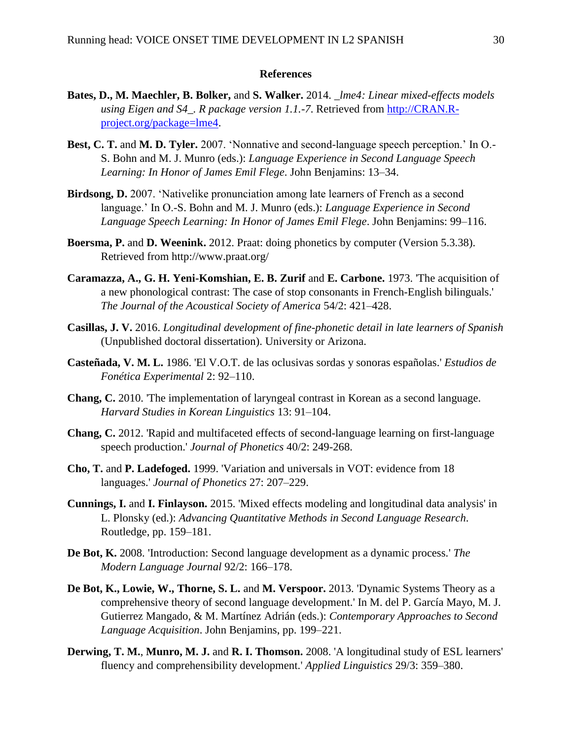### **References**

- **Bates, D., M. Maechler, B. Bolker,** and **S. Walker.** 2014. *\_lme4: Linear mixed-effects models using Eigen and S4\_. R package version 1.1.-7*. Retrieved from [http://CRAN.R](http://cran.r-project.org/package=lme4)[project.org/package=lme4.](http://cran.r-project.org/package=lme4)
- **Best, C. T.** and **M. D. Tyler.** 2007. 'Nonnative and second-language speech perception.' In O.- S. Bohn and M. J. Munro (eds.): *Language Experience in Second Language Speech Learning: In Honor of James Emil Flege*. John Benjamins: 13–34.
- **Birdsong, D.** 2007. 'Nativelike pronunciation among late learners of French as a second language.' In O.-S. Bohn and M. J. Munro (eds.): *Language Experience in Second Language Speech Learning: In Honor of James Emil Flege*. John Benjamins: 99–116.
- **Boersma, P.** and **D. Weenink.** 2012. Praat: doing phonetics by computer (Version 5.3.38). Retrieved from http://www.praat.org/
- **Caramazza, A., G. H. Yeni-Komshian, E. B. Zurif** and **E. Carbone.** 1973. 'The acquisition of a new phonological contrast: The case of stop consonants in French-English bilinguals.' *The Journal of the Acoustical Society of America* 54/2: 421–428.
- **Casillas, J. V.** 2016. *Longitudinal development of fine-phonetic detail in late learners of Spanish* (Unpublished doctoral dissertation). University or Arizona.
- **Casteñada, V. M. L.** 1986. 'El V.O.T. de las oclusivas sordas y sonoras españolas.' *Estudios de Fonética Experimental* 2: 92–110.
- **Chang, C.** 2010. 'The implementation of laryngeal contrast in Korean as a second language. *Harvard Studies in Korean Linguistics* 13: 91–104.
- **Chang, C.** 2012. 'Rapid and multifaceted effects of second-language learning on first-language speech production.' *Journal of Phonetics* 40/2: 249-268.
- **Cho, T.** and **P. Ladefoged.** 1999. 'Variation and universals in VOT: evidence from 18 languages.' *Journal of Phonetics* 27: 207–229.
- **Cunnings, I.** and **I. Finlayson.** 2015. 'Mixed effects modeling and longitudinal data analysis' in L. Plonsky (ed.): *Advancing Quantitative Methods in Second Language Research*. Routledge, pp. 159–181.
- **De Bot, K.** 2008. 'Introduction: Second language development as a dynamic process.' *The Modern Language Journal* 92/2: 166–178.
- **De Bot, K., Lowie, W., Thorne, S. L.** and **M. Verspoor.** 2013. 'Dynamic Systems Theory as a comprehensive theory of second language development.' In M. del P. García Mayo, M. J. Gutierrez Mangado, & M. Martínez Adrián (eds.): *Contemporary Approaches to Second Language Acquisition*. John Benjamins, pp. 199–221.
- **Derwing, T. M.**, **Munro, M. J.** and **R. I. Thomson.** 2008. 'A longitudinal study of ESL learners' fluency and comprehensibility development.' *Applied Linguistics* 29/3: 359–380.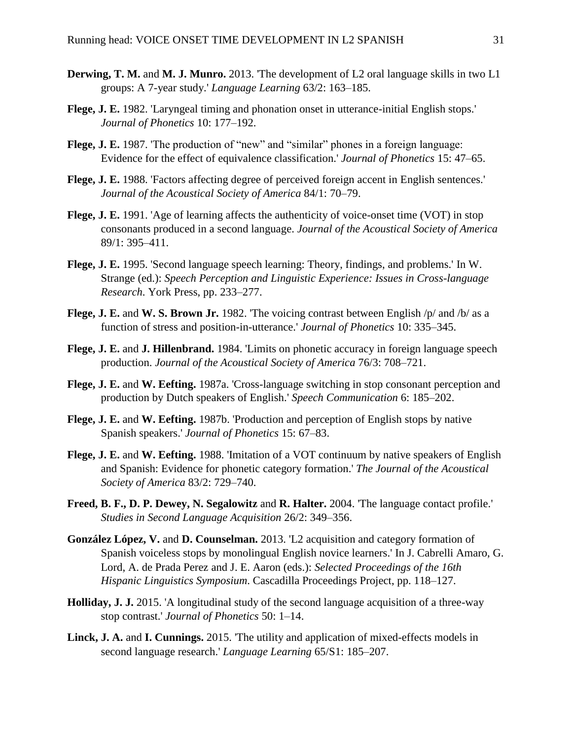- **Derwing, T. M.** and **M. J. Munro.** 2013. 'The development of L2 oral language skills in two L1 groups: A 7-year study.' *Language Learning* 63/2: 163–185.
- **Flege, J. E.** 1982. 'Laryngeal timing and phonation onset in utterance-initial English stops.' *Journal of Phonetics* 10: 177–192.
- **Flege, J. E.** 1987. 'The production of "new" and "similar" phones in a foreign language: Evidence for the effect of equivalence classification.' *Journal of Phonetics* 15: 47–65.
- **Flege, J. E.** 1988. 'Factors affecting degree of perceived foreign accent in English sentences.' *Journal of the Acoustical Society of America* 84/1: 70–79.
- **Flege, J. E.** 1991. 'Age of learning affects the authenticity of voice-onset time (VOT) in stop consonants produced in a second language. *Journal of the Acoustical Society of America*  89/1: 395–411.
- **Flege, J. E.** 1995. 'Second language speech learning: Theory, findings, and problems.' In W. Strange (ed.): *Speech Perception and Linguistic Experience: Issues in Cross-language Research*. York Press, pp. 233–277.
- **Flege, J. E.** and **W. S. Brown Jr.** 1982. 'The voicing contrast between English /p/ and /b/ as a function of stress and position-in-utterance.' *Journal of Phonetics* 10: 335–345.
- **Flege, J. E.** and **J. Hillenbrand.** 1984. 'Limits on phonetic accuracy in foreign language speech production. *Journal of the Acoustical Society of America* 76/3: 708–721.
- **Flege, J. E.** and **W. Eefting.** 1987a. 'Cross-language switching in stop consonant perception and production by Dutch speakers of English.' *Speech Communication* 6: 185–202.
- **Flege, J. E.** and **W. Eefting.** 1987b. 'Production and perception of English stops by native Spanish speakers.' *Journal of Phonetics* 15: 67–83.
- **Flege, J. E.** and **W. Eefting.** 1988. 'Imitation of a VOT continuum by native speakers of English and Spanish: Evidence for phonetic category formation.' *The Journal of the Acoustical Society of America* 83/2: 729–740.
- **Freed, B. F., D. P. Dewey, N. Segalowitz** and **R. Halter.** 2004. 'The language contact profile.' *Studies in Second Language Acquisition* 26/2: 349–356.
- **González López, V.** and **D. Counselman.** 2013. 'L2 acquisition and category formation of Spanish voiceless stops by monolingual English novice learners.' In J. Cabrelli Amaro, G. Lord, A. de Prada Perez and J. E. Aaron (eds.): *Selected Proceedings of the 16th Hispanic Linguistics Symposium*. Cascadilla Proceedings Project, pp. 118–127.
- **Holliday, J. J.** 2015. 'A longitudinal study of the second language acquisition of a three-way stop contrast.' *Journal of Phonetics* 50: 1–14.
- **Linck, J. A.** and **I. Cunnings.** 2015. 'The utility and application of mixed-effects models in second language research.' *Language Learning* 65/S1: 185–207.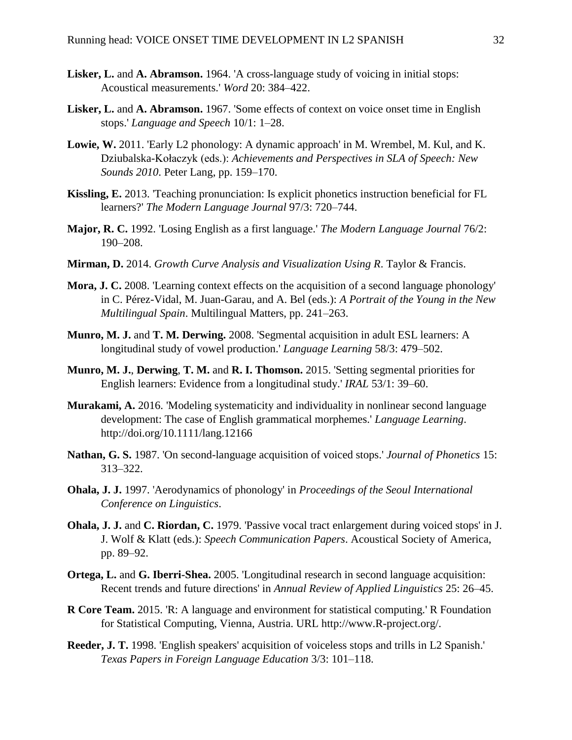- **Lisker, L.** and **A. Abramson.** 1964. 'A cross-language study of voicing in initial stops: Acoustical measurements.' *Word* 20: 384–422.
- **Lisker, L.** and **A. Abramson.** 1967. 'Some effects of context on voice onset time in English stops.' *Language and Speech* 10/1: 1–28.
- **Lowie, W.** 2011. 'Early L2 phonology: A dynamic approach' in M. Wrembel, M. Kul, and K. Dziubalska-Kołaczyk (eds.): *Achievements and Perspectives in SLA of Speech: New Sounds 2010*. Peter Lang, pp. 159–170.
- **Kissling, E.** 2013. 'Teaching pronunciation: Is explicit phonetics instruction beneficial for FL learners?' *The Modern Language Journal* 97/3: 720–744.
- **Major, R. C.** 1992. 'Losing English as a first language.' *The Modern Language Journal* 76/2: 190–208.
- **Mirman, D.** 2014. *Growth Curve Analysis and Visualization Using R*. Taylor & Francis.
- **Mora, J. C.** 2008. 'Learning context effects on the acquisition of a second language phonology' in C. Pérez-Vidal, M. Juan-Garau, and A. Bel (eds.): *A Portrait of the Young in the New Multilingual Spain*. Multilingual Matters, pp. 241–263.
- **Munro, M. J.** and **T. M. Derwing.** 2008. 'Segmental acquisition in adult ESL learners: A longitudinal study of vowel production.' *Language Learning* 58/3: 479–502.
- **Munro, M. J.**, **Derwing**, **T. M.** and **R. I. Thomson.** 2015. 'Setting segmental priorities for English learners: Evidence from a longitudinal study.' *IRAL* 53/1: 39–60.
- **Murakami, A.** 2016. 'Modeling systematicity and individuality in nonlinear second language development: The case of English grammatical morphemes.' *Language Learning*. http://doi.org/10.1111/lang.12166
- **Nathan, G. S.** 1987. 'On second-language acquisition of voiced stops.' *Journal of Phonetics* 15: 313–322.
- **Ohala, J. J.** 1997. 'Aerodynamics of phonology' in *Proceedings of the Seoul International Conference on Linguistics*.
- **Ohala, J. J.** and **C. Riordan, C.** 1979. 'Passive vocal tract enlargement during voiced stops' in J. J. Wolf & Klatt (eds.): *Speech Communication Papers*. Acoustical Society of America, pp. 89–92.
- **Ortega, L.** and **G. Iberri-Shea.** 2005. 'Longitudinal research in second language acquisition: Recent trends and future directions' in *Annual Review of Applied Linguistics* 25: 26–45.
- **R Core Team.** 2015. 'R: A language and environment for statistical computing.' R Foundation for Statistical Computing, Vienna, Austria. URL http://www.R-project.org/.
- **Reeder, J. T.** 1998. 'English speakers' acquisition of voiceless stops and trills in L2 Spanish.' *Texas Papers in Foreign Language Education* 3/3: 101–118.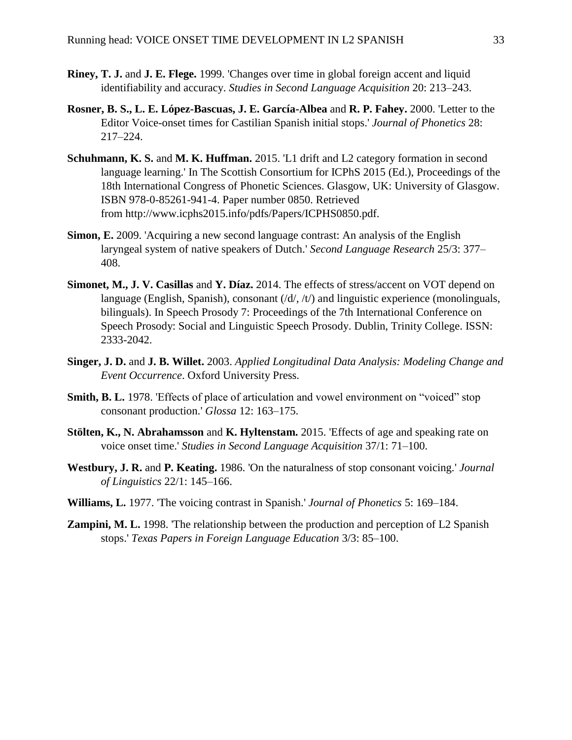- **Riney, T. J.** and **J. E. Flege.** 1999. 'Changes over time in global foreign accent and liquid identifiability and accuracy. *Studies in Second Language Acquisition* 20: 213–243.
- **Rosner, B. S., L. E. López-Bascuas, J. E. García-Albea** and **R. P. Fahey.** 2000. 'Letter to the Editor Voice-onset times for Castilian Spanish initial stops.' *Journal of Phonetics* 28: 217–224.
- **Schuhmann, K. S.** and **M. K. Huffman.** 2015. 'L1 drift and L2 category formation in second language learning.' In The Scottish Consortium for ICPhS 2015 (Ed.), Proceedings of the 18th International Congress of Phonetic Sciences. Glasgow, UK: University of Glasgow. ISBN 978-0-85261-941-4. Paper number 0850. Retrieved from http://www.icphs2015.info/pdfs/Papers/ICPHS0850.pdf.
- **Simon, E.** 2009. 'Acquiring a new second language contrast: An analysis of the English laryngeal system of native speakers of Dutch.' *Second Language Research* 25/3: 377– 408.
- **Simonet, M., J. V. Casillas** and **Y. Díaz.** 2014. The effects of stress/accent on VOT depend on language (English, Spanish), consonant  $(d/d, dt)$  and linguistic experience (monolinguals, bilinguals). In Speech Prosody 7: Proceedings of the 7th International Conference on Speech Prosody: Social and Linguistic Speech Prosody. Dublin, Trinity College. ISSN: 2333-2042.
- **Singer, J. D.** and **J. B. Willet.** 2003. *Applied Longitudinal Data Analysis: Modeling Change and Event Occurrence*. Oxford University Press.
- **Smith, B. L.** 1978. 'Effects of place of articulation and vowel environment on "voiced" stop consonant production.' *Glossa* 12: 163–175.
- **Stölten, K., N. Abrahamsson** and **K. Hyltenstam.** 2015. 'Effects of age and speaking rate on voice onset time.' *Studies in Second Language Acquisition* 37/1: 71–100.
- **Westbury, J. R.** and **P. Keating.** 1986. 'On the naturalness of stop consonant voicing.' *Journal of Linguistics* 22/1: 145–166.
- **Williams, L.** 1977. 'The voicing contrast in Spanish.' *Journal of Phonetics* 5: 169–184.
- **Zampini, M. L.** 1998. 'The relationship between the production and perception of L2 Spanish stops.' *Texas Papers in Foreign Language Education* 3/3: 85–100.